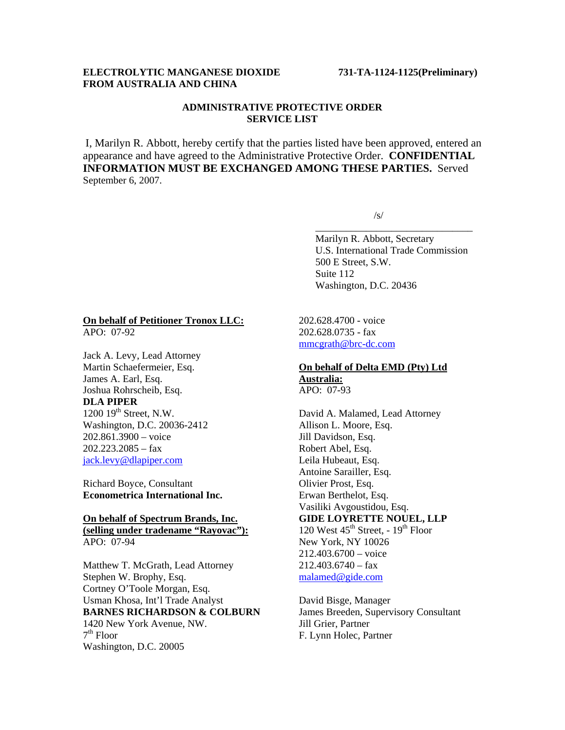# **ELECTROLYTIC MANGANESE DIOXIDE 731-TA-1124-1125(Preliminary) FROM AUSTRALIA AND CHINA**

# **ADMINISTRATIVE PROTECTIVE ORDER SERVICE LIST**

I, Marilyn R. Abbott, hereby certify that the parties listed have been approved, entered an appearance and have agreed to the Administrative Protective Order. **CONFIDENTIAL INFORMATION MUST BE EXCHANGED AMONG THESE PARTIES.** Served September 6, 2007.

 $\overline{\phantom{a}}$  , and the contract of the contract of the contract of the contract of the contract of the contract of the contract of the contract of the contract of the contract of the contract of the contract of the contrac

 $\sqrt{s}$ /s/

 Marilyn R. Abbott, Secretary U.S. International Trade Commission 500 E Street, S.W. Suite 112 Washington, D.C. 20436

# **On behalf of Petitioner Tronox LLC:**

APO: 07-92

Jack A. Levy, Lead Attorney Martin Schaefermeier, Esq. James A. Earl, Esq. Joshua Rohrscheib, Esq. **DLA PIPER**  $1200$   $19<sup>th</sup>$  Street, N.W. Washington, D.C. 20036-2412 202.861.3900 – voice 202.223.2085 – fax jack.levy@dlapiper.com

Richard Boyce, Consultant **Econometrica International Inc.** 

**On behalf of Spectrum Brands, Inc. (selling under tradename "Rayovac"):** APO: 07-94

Matthew T. McGrath, Lead Attorney Stephen W. Brophy, Esq. Cortney O'Toole Morgan, Esq. Usman Khosa, Int'l Trade Analyst **BARNES RICHARDSON & COLBURN** 1420 New York Avenue, NW.  $7<sup>th</sup>$  Floor Washington, D.C. 20005

202.628.4700 - voice 202.628.0735 - fax mmcgrath@brc-dc.com

### **On behalf of Delta EMD (Pty) Ltd Australia:** APO: 07-93

David A. Malamed, Lead Attorney Allison L. Moore, Esq. Jill Davidson, Esq. Robert Abel, Esq. Leila Hubeaut, Esq. Antoine Sarailler, Esq. Olivier Prost, Esq. Erwan Berthelot, Esq. Vasiliki Avgoustidou, Esq. **GIDE LOYRETTE NOUEL, LLP**  120 West  $45^{\text{th}}$  Street,  $-19^{\text{th}}$  Floor New York, NY 10026 212.403.6700 – voice  $212.403.6740 - fax$ malamed@gide.com

David Bisge, Manager James Breeden, Supervisory Consultant Jill Grier, Partner F. Lynn Holec, Partner